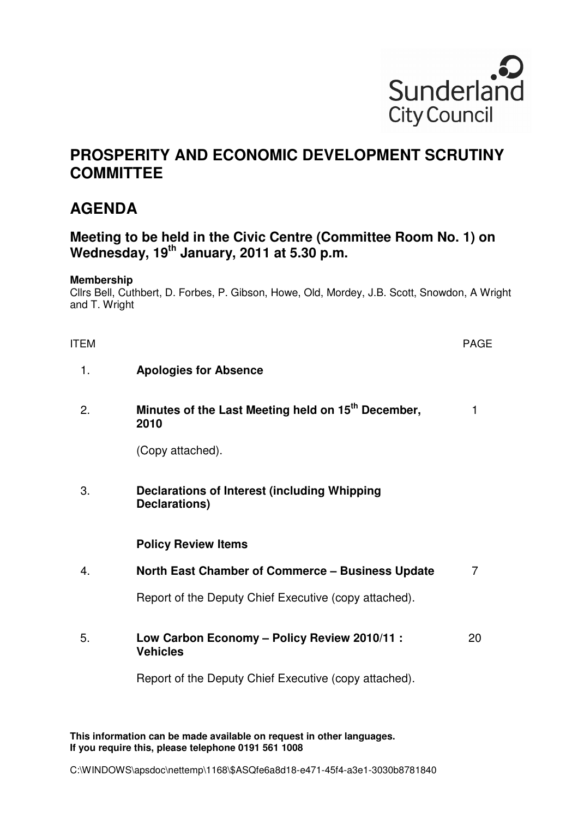

## **PROSPERITY AND ECONOMIC DEVELOPMENT SCRUTINY COMMITTEE**

## **AGENDA**

## **Meeting to be held in the Civic Centre (Committee Room No. 1) on Wednesday, 19th January, 2011 at 5.30 p.m.**

## **Membership**

Cllrs Bell, Cuthbert, D. Forbes, P. Gibson, Howe, Old, Mordey, J.B. Scott, Snowdon, A Wright and T. Wright

| <b>ITEM</b> |                                                                        | <b>PAGE</b> |
|-------------|------------------------------------------------------------------------|-------------|
| 1.          | <b>Apologies for Absence</b>                                           |             |
| 2.          | Minutes of the Last Meeting held on 15 <sup>th</sup> December,<br>2010 | 1           |
|             | (Copy attached).                                                       |             |
| 3.          | Declarations of Interest (including Whipping<br>Declarations)          |             |
|             | <b>Policy Review Items</b>                                             |             |
| 4.          | <b>North East Chamber of Commerce – Business Update</b>                | 7           |
|             | Report of the Deputy Chief Executive (copy attached).                  |             |
| 5.          | Low Carbon Economy - Policy Review 2010/11 :<br><b>Vehicles</b>        | 20          |
|             | Report of the Deputy Chief Executive (copy attached).                  |             |

**This information can be made available on request in other languages. If you require this, please telephone 0191 561 1008**